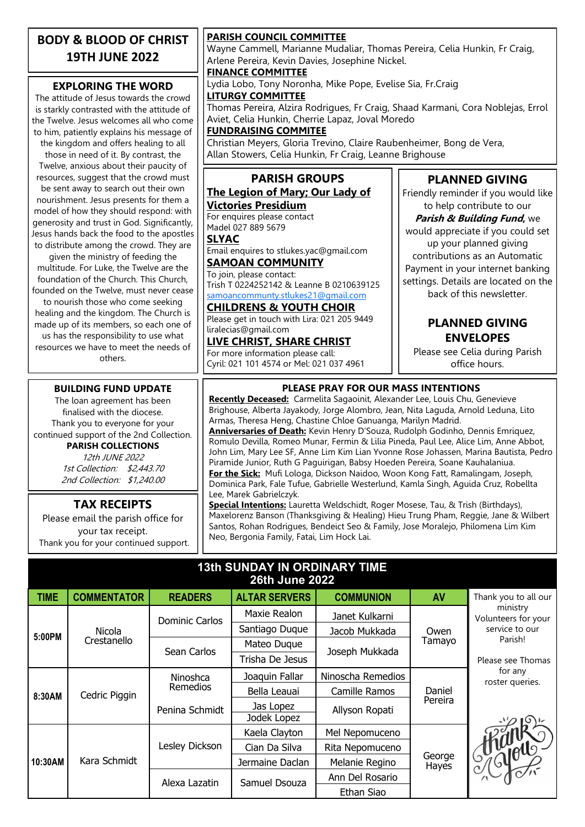### **BODY & BLOOD OF CHRIST 19TH JUNE 2022**

### **EXPLORING THE WORD**

The attitude of Jesus towards the crowd is starkly contrasted with the attitude of the Twelve. Jesus welcomes all who come to him, patiently explains his message of the kingdom and offers healing to all

those in need of it. By contrast, the Twelve, anxious about their paucity of resources, suggest that the crowd must be sent away to search out their own nourishment. Jesus presents for them a model of how they should respond: with generosity and trust in God. Significantly, Jesus hands back the food to the apostles to distribute among the crowd. They are

given the ministry of feeding the multitude. For Luke, the Twelve are the foundation of the Church. This Church, founded on the Twelve, must never cease to nourish those who come seeking healing and the kingdom. The Church is made up of its members, so each one of us has the responsibility to use what resources we have to meet the needs of others.

#### **BUILDING FUND UPDATE**

The loan agreement has been finalised with the diocese. Thank you to everyone for your continued support of the 2nd Collection. **PARISH COLLECTIONS**

12th JUNE 2022 1st Collection: \$2,443.70 2nd Collection: \$1,240.00

**TAX RECEIPTS** Please email the parish office for your tax receipt. Thank you for your continued support.

#### **PARISH COUNCIL COMMITTEE**

Wayne Cammell, Marianne Mudaliar, Thomas Pereira, Celia Hunkin, Fr Craig, Arlene Pereira, Kevin Davies, Josephine Nickel.

**FINANCE COMMITTEE**

Lydia Lobo, Tony Noronha, Mike Pope, Evelise Sia, Fr.Craig **LITURGY COMMITTEE**

Thomas Pereira, Alzira Rodrigues, Fr Craig, Shaad Karmani, Cora Noblejas, Errol Aviet, Celia Hunkin, Cherrie Lapaz, Joval Moredo

**FUNDRAISING COMMITEE**

Christian Meyers, Gloria Trevino, Claire Raubenheimer, Bong de Vera, Allan Stowers, Celia Hunkin, Fr Craig, Leanne Brighouse

#### **PARISH GROUPS The Legion of Mary; Our Lady of Victories Presidium**

For enquires please contact Madel 027 889 5679

**SLYAC**

Email enquires to stlukes.yac@gmail.com **SAMOAN COMMUNITY**

To join, please contact: Trish T 0224252142 & Leanne B 0210639125 [samoancommunty.stlukes21@gmail.com](mailto:samoancommunity.stlukes21@gmail.com)

## **CHILDRENS & YOUTH CHOIR**

Please get in touch with Lira: 021 205 9449 liralecias@gmail.com

**LIVE CHRIST, SHARE CHRIST** For more information please call: Cyril: 021 101 4574 or Mel: 021 037 4961

### **PLANNED GIVING** Friendly reminder if you would like

to help contribute to our **Parish & Building Fund,** we would appreciate if you could set up your planned giving contributions as an Automatic Payment in your internet banking settings. Details are located on the back of this newsletter.

### **PLANNED GIVING ENVELOPES**

Please see Celia during Parish office hours.

### **PLEASE PRAY FOR OUR MASS INTENTIONS**

**Recently Deceased:** Carmelita Sagaoinit, Alexander Lee, Louis Chu, Genevieve Brighouse, Alberta Jayakody, Jorge Alombro, Jean, Nita Laguda, Arnold Leduna, Lito Armas, Theresa Heng, Chastine Chloe Ganuanga, Marilyn Madrid. **Anniversaries of Death:** Kevin Henry D'Souza, Rudolph Godinho, Dennis Emriquez, Romulo Devilla, Romeo Munar, Fermin & Lilia Pineda, Paul Lee, Alice Lim, Anne Abbot, John Lim, Mary Lee SF, Anne Lim Kim Lian Yvonne Rose Johassen, Marina Bautista, Pedro Piramide Junior, Ruth G Paguirigan, Babsy Hoeden Pereira, Soane Kauhalaniua. **For the Sick:** Mufi Lologa, Dickson Naidoo, Woon Kong Fatt, Ramalingam, Joseph, Dominica Park, Fale Tufue, Gabrielle Westerlund, Kamla Singh, Aguida Cruz, Robellta Lee, Marek Gabrielczyk.

**Special Intentions:** Lauretta Weldschidt, Roger Mosese, Tau, & Trish (Birthdays), Maxelorenz Banson (Thanksgiving & Healing) Hieu Trung Pham, Reggie, Jane & Wilbert Santos, Rohan Rodrigues, Bendeict Seo & Family, Jose Moralejo, Philomena Lim Kim Neo, Bergonia Family, Fatai, Lim Hock Lai.

### **13th SUNDAY IN ORDINARY TIME 26th June 2022**

| <b>TIME</b> | <b>COMMENTATOR</b>    | <b>READERS</b>        | <b>ALTAR SERVERS</b> | <b>COMMUNION</b>  | AV                | Thank you to all our            |
|-------------|-----------------------|-----------------------|----------------------|-------------------|-------------------|---------------------------------|
| 5:00PM      | Nicola<br>Crestanello | <b>Dominic Carlos</b> | Maxie Realon         | Janet Kulkarni    | Owen<br>Tamayo    | ministry<br>Volunteers for your |
|             |                       |                       | Santiago Duque       | Jacob Mukkada     |                   | service to our<br>Parish!       |
|             |                       | Sean Carlos           | Mateo Duque          | Joseph Mukkada    |                   |                                 |
|             |                       |                       | Trisha De Jesus      |                   |                   | Please see Thomas               |
| 8:30AM      | Cedric Piggin         | Ninoshca<br>Remedios  | Joaquin Fallar       | Ninoscha Remedios | Daniel<br>Pereira | for any<br>roster queries.      |
|             |                       |                       | Bella Leauai         | Camille Ramos     |                   |                                 |
|             |                       | Penina Schmidt        | Jas Lopez            | Allyson Ropati    |                   |                                 |
|             |                       |                       | Jodek Lopez          |                   |                   |                                 |
| 10:30AM     | Kara Schmidt          | Lesley Dickson        | Kaela Clayton        | Mel Nepomuceno    | George<br>Hayes   |                                 |
|             |                       |                       | Cian Da Silva        | Rita Nepomuceno   |                   | I SAGUELO                       |
|             |                       |                       | Jermaine Daclan      | Melanie Regino    |                   |                                 |
|             |                       | Alexa Lazatin         | Samuel Dsouza        | Ann Del Rosario   |                   |                                 |
|             |                       |                       |                      | Ethan Siao        |                   |                                 |